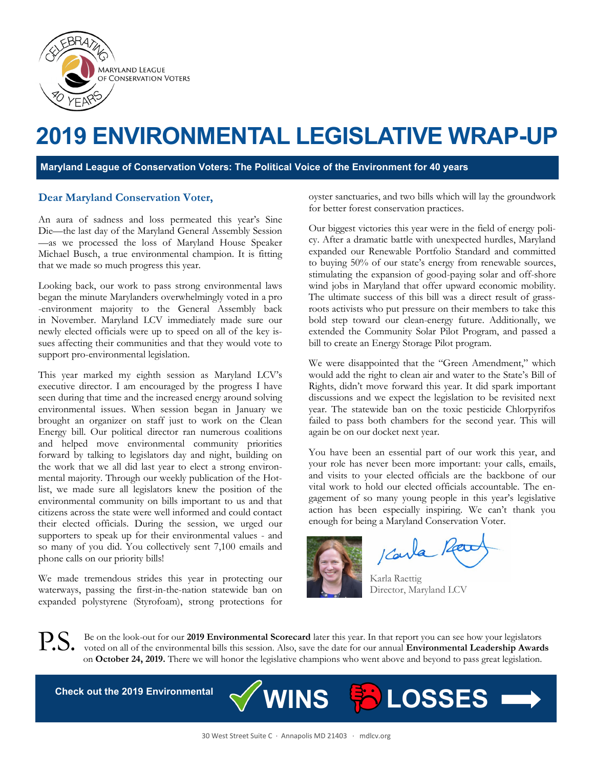

## **2019 ENVIRONMENTAL LEGISLATIVE WRAP-UP**

**Maryland League of Conservation Voters: The Political Voice of the Environment for 40 years**

#### **Dear Maryland Conservation Voter,**

An aura of sadness and loss permeated this year's Sine Die—the last day of the Maryland General Assembly Session —as we processed the loss of Maryland House Speaker Michael Busch, a true environmental champion. It is fitting that we made so much progress this year.

Looking back, our work to pass strong environmental laws began the minute Marylanders overwhelmingly voted in a pro -environment majority to the General Assembly back in November. Maryland LCV immediately made sure our newly elected officials were up to speed on all of the key issues affecting their communities and that they would vote to support pro-environmental legislation.

This year marked my eighth session as Maryland LCV's executive director. I am encouraged by the progress I have seen during that time and the increased energy around solving environmental issues. When session began in January we brought an organizer on staff just to work on the Clean Energy bill. Our political director ran numerous coalitions and helped move environmental community priorities forward by talking to legislators day and night, building on the work that we all did last year to elect a strong environmental majority. Through our weekly publication of the Hotlist, we made sure all legislators knew the position of the environmental community on bills important to us and that citizens across the state were well informed and could contact their elected officials. During the session, we urged our supporters to speak up for their environmental values - and so many of you did. You collectively sent 7,100 emails and phone calls on our priority bills!

We made tremendous strides this year in protecting our waterways, passing the first-in-the-nation statewide ban on expanded polystyrene (Styrofoam), strong protections for oyster sanctuaries, and two bills which will lay the groundwork for better forest conservation practices.

Our biggest victories this year were in the field of energy policy. After a dramatic battle with unexpected hurdles, Maryland expanded our Renewable Portfolio Standard and committed to buying 50% of our state's energy from renewable sources, stimulating the expansion of good-paying solar and off-shore wind jobs in Maryland that offer upward economic mobility. The ultimate success of this bill was a direct result of grassroots activists who put pressure on their members to take this bold step toward our clean-energy future. Additionally, we extended the Community Solar Pilot Program, and passed a bill to create an Energy Storage Pilot program.

We were disappointed that the "Green Amendment," which would add the right to clean air and water to the State's Bill of Rights, didn't move forward this year. It did spark important discussions and we expect the legislation to be revisited next year. The statewide ban on the toxic pesticide Chlorpyrifos failed to pass both chambers for the second year. This will again be on our docket next year.

You have been an essential part of our work this year, and your role has never been more important: your calls, emails, and visits to your elected officials are the backbone of our vital work to hold our elected officials accountable. The engagement of so many young people in this year's legislative action has been especially inspiring. We can't thank you enough for being a Maryland Conservation Voter.

Karla

 Karla Raettig Director, Maryland LCV

P.S. Be on the look-out for our **2019 Environmental Scorecard** later this year. In that report you can see how your legislators voted on all of the environmental bills this session. Also, save the date for our annual **Environmental Leadership Awards** on **October 24, 2019.** There we will honor the legislative champions who went above and beyond to pass great legislation.

**Check out the 2019 Environmental** <br> **WINS Follow LOSSES**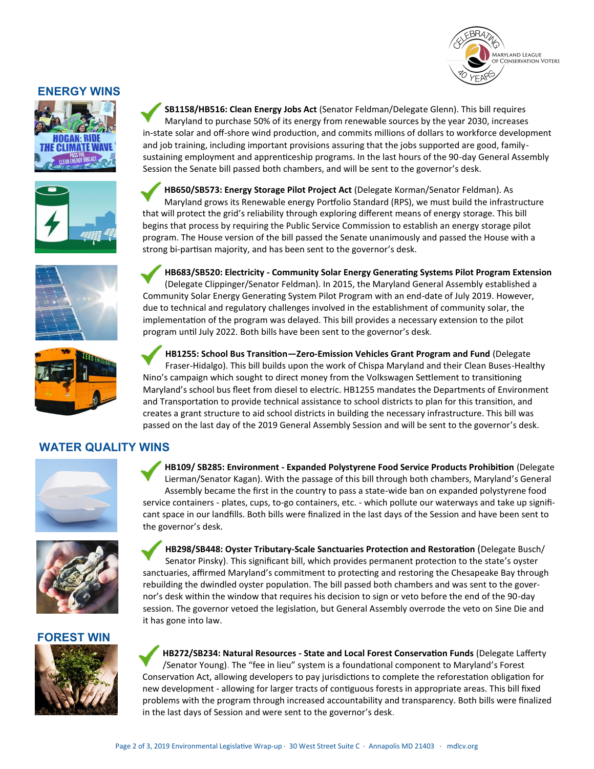# **MARYLAND LEAGUE CONSERVATION VOTERS**

#### **ENERGY WINS**





Maryland to purchase 50% of its energy from renewable sources by the year 2030, increases in-state solar and off-shore wind production, and commits millions of dollars to workforce development and job training, including important provisions assuring that the jobs supported are good, familysustaining employment and apprenticeship programs. In the last hours of the 90-day General Assembly Session the Senate bill passed both chambers, and will be sent to the governor's desk.

**SB1158/HB516: Clean Energy Jobs Act** (Senator Feldman/Delegate Glenn). This bill requires



**HB683/SB520: Electricity - Community Solar Energy Generating Systems Pilot Program Extension** 



(Delegate Clippinger/Senator Feldman). In 2015, the Maryland General Assembly established a Community Solar Energy Generating System Pilot Program with an end-date of July 2019. However, due to technical and regulatory challenges involved in the establishment of community solar, the implementation of the program was delayed. This bill provides a necessary extension to the pilot program until July 2022. Both bills have been sent to the governor's desk.





the governor's desk.

it has gone into law.

**HB1255: School Bus Transition—Zero-Emission Vehicles Grant Program and Fund** (Delegate Fraser-Hidalgo). This bill builds upon the work of Chispa Maryland and their Clean Buses-Healthy Nino's campaign which sought to direct money from the Volkswagen Settlement to transitioning Maryland's school bus fleet from diesel to electric. HB1255 mandates the Departments of Environment and Transportation to provide technical assistance to school districts to plan for this transition, and creates a grant structure to aid school districts in building the necessary infrastructure. This bill was passed on the last day of the 2019 General Assembly Session and will be sent to the governor's desk.

**HB109/ SB285: Environment - Expanded Polystyrene Food Service Products Prohibition** (Delegate Lierman/Senator Kagan). With the passage of this bill through both chambers, Maryland's General Assembly became the first in the country to pass a state-wide ban on expanded polystyrene food service containers - plates, cups, to-go containers, etc. - which pollute our waterways and take up significant space in our landfills. Both bills were finalized in the last days of the Session and have been sent to

**HB298/SB448: Oyster Tributary-Scale Sanctuaries Protection and Restoration** (Delegate Busch/ Senator Pinsky). This significant bill, which provides permanent protection to the state's oyster sanctuaries, affirmed Maryland's commitment to protecting and restoring the Chesapeake Bay through rebuilding the dwindled oyster population. The bill passed both chambers and was sent to the governor's desk within the window that requires his decision to sign or veto before the end of the 90-day session. The governor vetoed the legislation, but General Assembly overrode the veto on Sine Die and

### **WATER QUALITY WINS**





#### **FOREST WIN**



**HB272/SB234: Natural Resources - State and Local Forest Conservation Funds** (Delegate Lafferty /Senator Young). The "fee in lieu" system is a foundational component to Maryland's Forest Conservation Act, allowing developers to pay jurisdictions to complete the reforestation obligation for new development - allowing for larger tracts of contiguous forests in appropriate areas. This bill fixed problems with the program through increased accountability and transparency. Both bills were finalized in the last days of Session and were sent to the governor's desk.